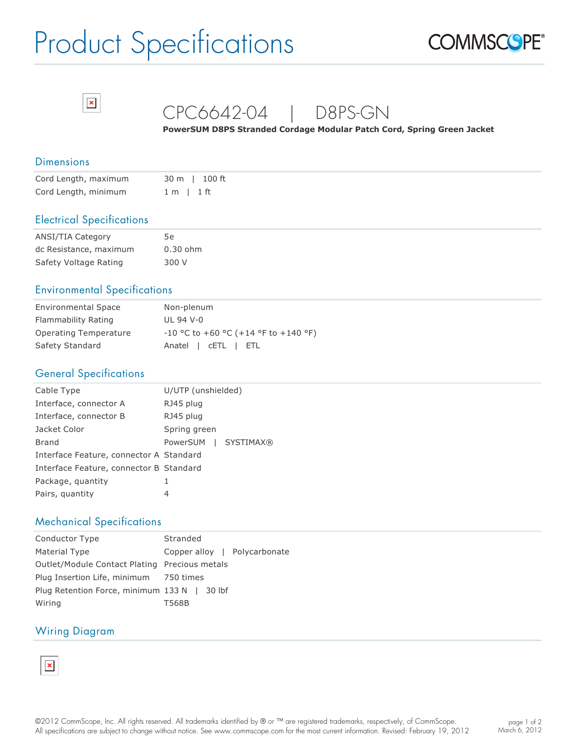# Product Specifications





# CPC6642-04 | D8PS-GN

**PowerSUM D8PS Stranded Cordage Modular Patch Cord, Spring Green Jacket**

#### **Dimensions**

| Cord Length, maximum | 30 m   100 ft |
|----------------------|---------------|
| Cord Length, minimum | 1 m l 1 ft    |

#### Electrical Specifications

| <b>ANSI/TIA Category</b> | 5е         |
|--------------------------|------------|
| dc Resistance, maximum   | $0.30$ ohm |
| Safety Voltage Rating    | 300 V      |

## Environmental Specifications

| <b>Environmental Space</b> | Non-plenum                             |
|----------------------------|----------------------------------------|
| Flammability Rating        | UL 94 V-0                              |
| Operating Temperature      | $-10$ °C to +60 °C (+14 °F to +140 °F) |
| Safety Standard            | Anatel   CETL   ETL                    |

### General Specifications

| Cable Type                              | U/UTP (unshielded)           |
|-----------------------------------------|------------------------------|
| Interface, connector A                  | RJ45 plug                    |
| Interface, connector B                  | RJ45 plug                    |
| Jacket Color                            | Spring green                 |
| Brand                                   | PowerSUM<br><b>SYSTIMAX®</b> |
| Interface Feature, connector A Standard |                              |
| Interface Feature, connector B Standard |                              |
| Package, quantity                       |                              |
| Pairs, quantity                         | 4                            |

#### Mechanical Specifications

| Conductor Type                                | Stranded                     |
|-----------------------------------------------|------------------------------|
| Material Type                                 | Copper alloy   Polycarbonate |
| Outlet/Module Contact Plating Precious metals |                              |
| Plug Insertion Life, minimum 750 times        |                              |
| Plug Retention Force, minimum 133 N   30 lbf  |                              |
| Wiring                                        | T568B                        |

#### Wiring Diagram